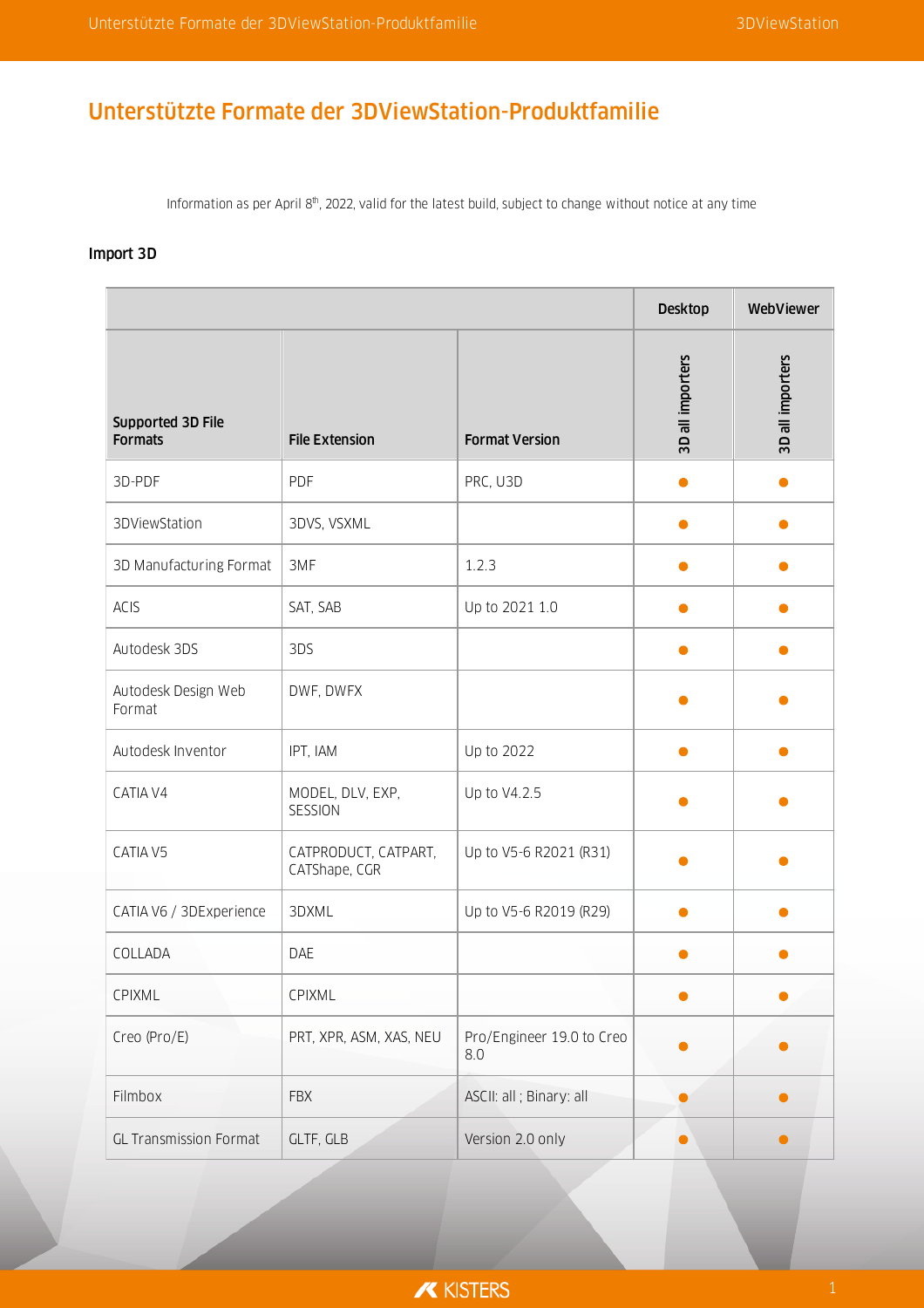# Unterstützte Formate der 3DViewStation-Produktfamilie

Information as per April 8<sup>th</sup>, 2022, valid for the latest build, subject to change without notice at any time

## Import 3D

| Supported 3D File<br><b>Formats</b> | <b>File Extension</b>                 | <b>Format Version</b>            | 3D all importers | 3D all importers |
|-------------------------------------|---------------------------------------|----------------------------------|------------------|------------------|
| 3D-PDF                              | PDF                                   | PRC, U3D                         | ●                |                  |
| 3DViewStation                       | 3DVS, VSXML                           |                                  |                  |                  |
| 3D Manufacturing Format             | 3MF                                   | 1.2.3                            |                  |                  |
| ACIS                                | SAT, SAB                              | Up to 2021 1.0                   |                  |                  |
| Autodesk 3DS                        | 3DS                                   |                                  | ●                |                  |
| Autodesk Design Web<br>Format       | DWF, DWFX                             |                                  |                  |                  |
| Autodesk Inventor                   | IPT, IAM                              | Up to 2022                       |                  |                  |
| CATIA V4                            | MODEL, DLV, EXP,<br>SESSION           | Up to V4.2.5                     |                  |                  |
| CATIA V5                            | CATPRODUCT, CATPART,<br>CATShape, CGR | Up to V5-6 R2021 (R31)           |                  |                  |
| CATIA V6 / 3DExperience             | 3DXML                                 | Up to V5-6 R2019 (R29)           |                  |                  |
| COLLADA                             | DAE                                   |                                  |                  |                  |
| CPIXML                              | CPIXML                                |                                  |                  |                  |
| Creo (Pro/E)                        | PRT, XPR, ASM, XAS, NEU               | Pro/Engineer 19.0 to Creo<br>8.0 |                  |                  |
| Filmbox                             | <b>FBX</b>                            | ASCII: all ; Binary: all         |                  |                  |
| <b>GL Transmission Format</b>       | GLTF, GLB                             | Version 2.0 only                 |                  |                  |

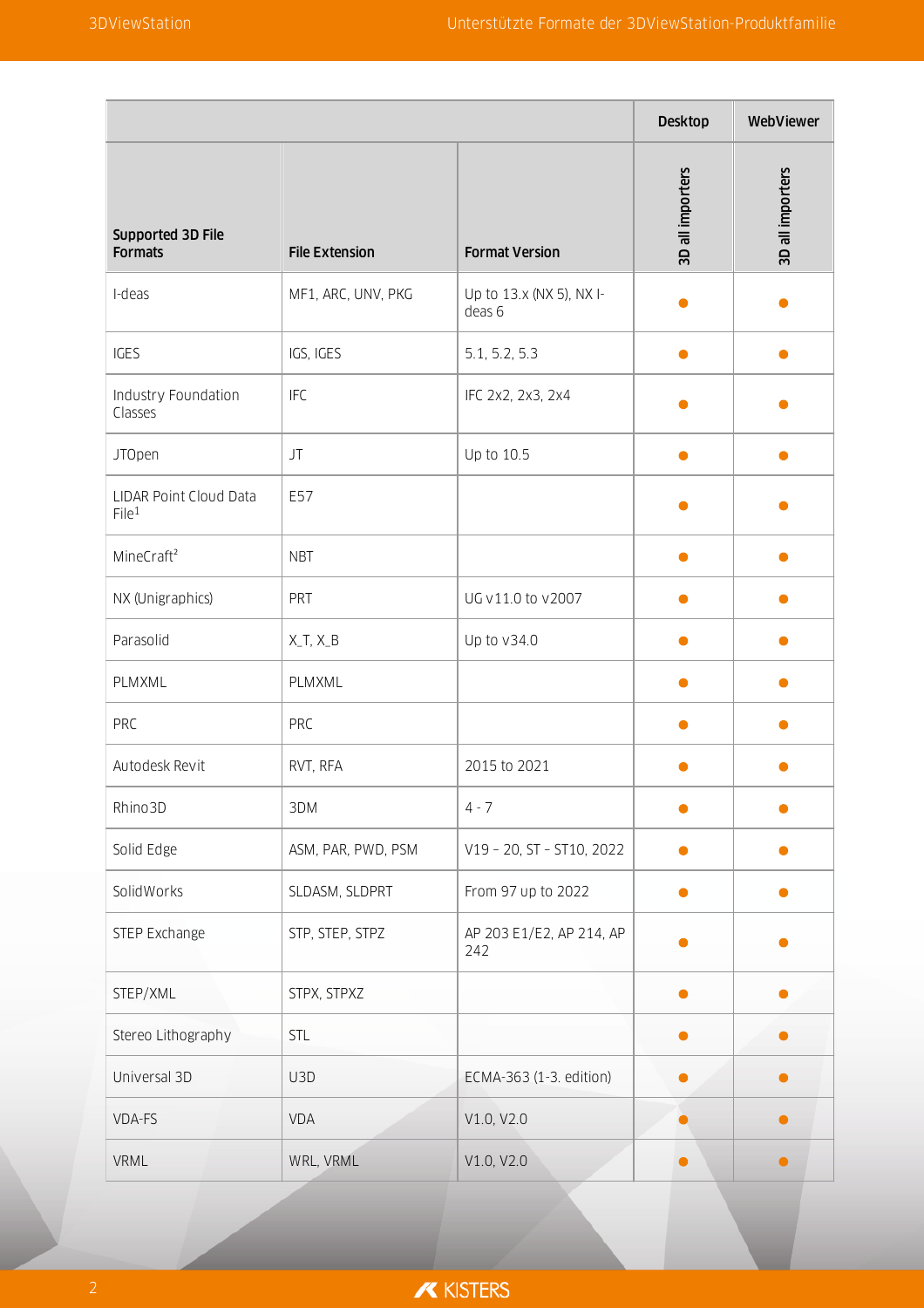|                                             |                       |                                    | <b>Desktop</b>   | WebViewer        |
|---------------------------------------------|-----------------------|------------------------------------|------------------|------------------|
| Supported 3D File<br><b>Formats</b>         | <b>File Extension</b> | <b>Format Version</b>              | 3D all importers | 3D all importers |
| I-deas                                      | MF1, ARC, UNV, PKG    | Up to 13.x (NX 5), NX I-<br>deas 6 |                  |                  |
| IGES                                        | IGS, IGES             | 5.1, 5.2, 5.3                      |                  |                  |
| Industry Foundation<br>Classes              | <b>IFC</b>            | IFC 2x2, 2x3, 2x4                  |                  |                  |
| <b>JTOpen</b>                               | JT                    | Up to 10.5                         | ●                |                  |
| LIDAR Point Cloud Data<br>File <sup>1</sup> | E57                   |                                    |                  |                  |
| MineCraft <sup>2</sup>                      | <b>NBT</b>            |                                    |                  |                  |
| NX (Unigraphics)                            | PRT                   | UG v11.0 to v2007                  |                  |                  |
| Parasolid                                   | $X_T, X_B$            | Up to v34.0                        |                  |                  |
| PLMXML                                      | PLMXML                |                                    |                  |                  |
| PRC                                         | <b>PRC</b>            |                                    |                  |                  |
| Autodesk Revit                              | RVT, RFA              | 2015 to 2021                       |                  |                  |
| Rhino3D                                     | 3DM                   | $4 - 7$                            |                  |                  |
| Solid Edge                                  | ASM, PAR, PWD, PSM    | V19 - 20, ST - ST10, 2022          |                  |                  |
| SolidWorks                                  | SLDASM, SLDPRT        | From 97 up to 2022                 | $\bullet$        | D                |
| STEP Exchange                               | STP, STEP, STPZ       | AP 203 E1/E2, AP 214, AP<br>242    |                  |                  |
| STEP/XML                                    | STPX, STPXZ           |                                    |                  |                  |
| Stereo Lithography                          | STL                   |                                    |                  |                  |
| Universal 3D                                | U3D                   | ECMA-363 (1-3. edition)            |                  |                  |
| VDA-FS                                      | VDA                   | V1.0, V2.0                         |                  |                  |
| <b>VRML</b>                                 | WRL, VRML             | V1.0, V2.0                         |                  | $\bullet$        |

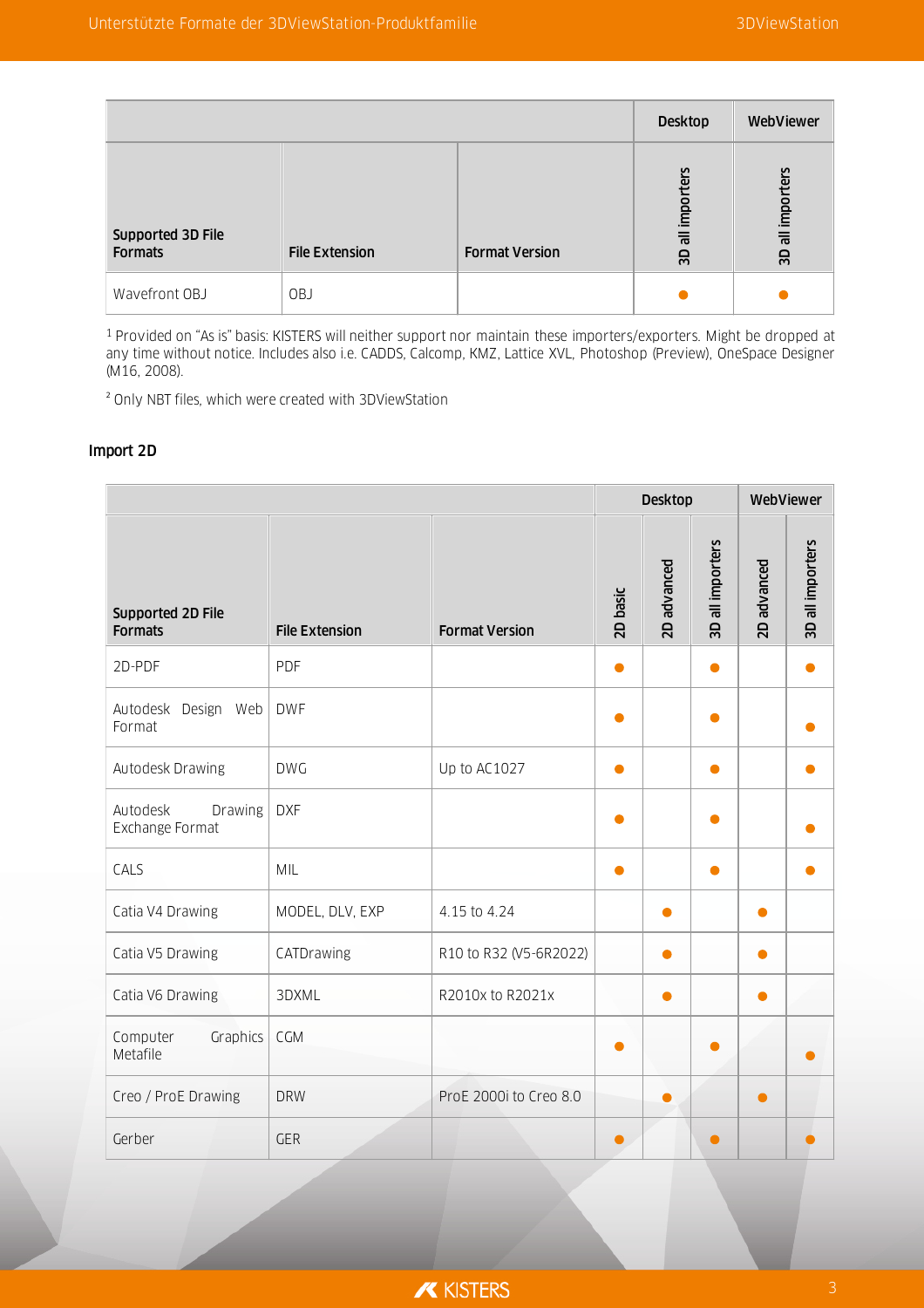|                                     |                       |                       | <b>Desktop</b>            | WebViewer        |
|-------------------------------------|-----------------------|-----------------------|---------------------------|------------------|
| Supported 3D File<br><b>Formats</b> | <b>File Extension</b> | <b>Format Version</b> | rters<br>impor<br>등<br>GS | 3D all importers |
| Wavefront OBJ                       | OBJ                   |                       |                           |                  |

<sup>1</sup> Provided on "As is" basis: KISTERS will neither support nor maintain these importers/exporters. Might be dropped at any time without notice. Includes also i.e. CADDS, Calcomp, KMZ, Lattice XVL, Photoshop (Preview), OneSpace Designer (M16, 2008).

² Only NBT files, which were created with 3DViewStation

#### Import 2D

|                                        |                       |                        | <b>Desktop</b> |             | WebViewer        |             |                  |
|----------------------------------------|-----------------------|------------------------|----------------|-------------|------------------|-------------|------------------|
| Supported 2D File<br><b>Formats</b>    | <b>File Extension</b> | <b>Format Version</b>  | 2D basic       | 2D advanced | 3D all importers | 2D advanced | 3D all importers |
| 2D-PDF                                 | PDF                   |                        | $\bullet$      |             | $\bullet$        |             |                  |
| Autodesk Design Web<br>Format          | <b>DWF</b>            |                        |                |             |                  |             |                  |
| Autodesk Drawing                       | <b>DWG</b>            | Up to AC1027           | $\bullet$      |             | $\bullet$        |             |                  |
| Autodesk<br>Drawing<br>Exchange Format | <b>DXF</b>            |                        |                |             | Ο                |             |                  |
| CALS                                   | MIL                   |                        |                |             | ●                |             |                  |
| Catia V4 Drawing                       | MODEL, DLV, EXP       | 4.15 to 4.24           |                | $\bullet$   |                  | $\bullet$   |                  |
| Catia V5 Drawing                       | CATDrawing            | R10 to R32 (V5-6R2022) |                | ●           |                  | ●           |                  |
| Catia V6 Drawing                       | 3DXML                 | R2010x to R2021x       |                |             |                  |             |                  |
| Computer<br>Graphics<br>Metafile       | CGM                   |                        |                |             |                  |             |                  |
| Creo / ProE Drawing                    | <b>DRW</b>            | ProE 2000i to Creo 8.0 |                | Ο           |                  |             |                  |
| Gerber                                 | <b>GER</b>            |                        |                |             |                  |             |                  |

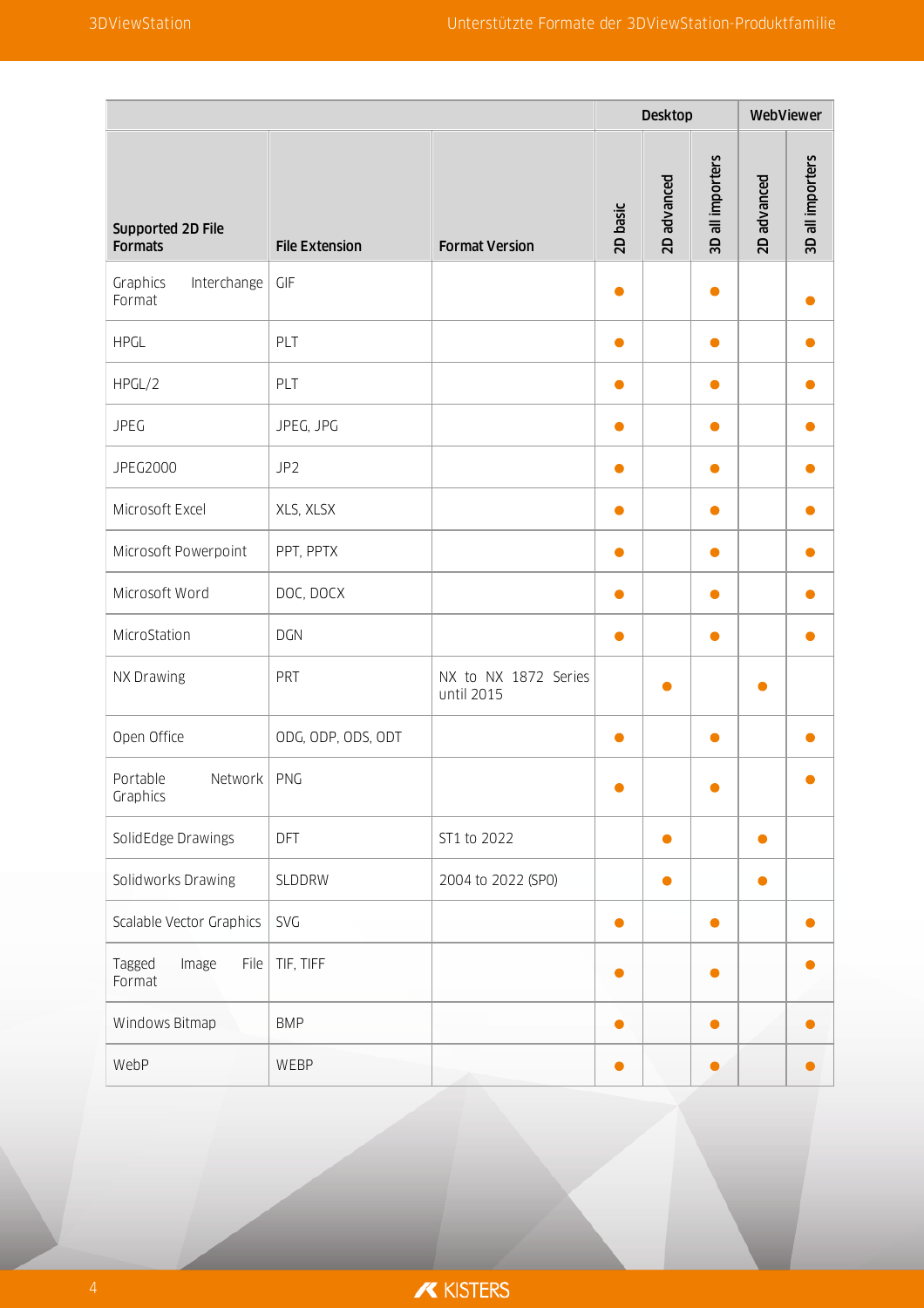|                                     |                       |                                    | Desktop   |             | WebViewer        |             |                  |
|-------------------------------------|-----------------------|------------------------------------|-----------|-------------|------------------|-------------|------------------|
| Supported 2D File<br><b>Formats</b> | <b>File Extension</b> | <b>Format Version</b>              | 2D basic  | 2D advanced | 3D all importers | 2D advanced | 3D all importers |
| Graphics<br>Interchange<br>Format   | GIF                   |                                    | $\bullet$ |             | $\bullet$        |             |                  |
| <b>HPGL</b>                         | PLT                   |                                    | $\bullet$ |             | $\bullet$        |             |                  |
| HPGL/2                              | PLT                   |                                    | $\bullet$ |             | $\bullet$        |             |                  |
| <b>JPEG</b>                         | JPEG, JPG             |                                    |           |             |                  |             |                  |
| JPEG2000                            | JP <sub>2</sub>       |                                    | $\bullet$ |             | $\bullet$        |             |                  |
| Microsoft Excel                     | XLS, XLSX             |                                    | $\bullet$ |             | $\bullet$        |             |                  |
| Microsoft Powerpoint                | PPT, PPTX             |                                    | $\bullet$ |             | $\bullet$        |             |                  |
| Microsoft Word                      | DOC, DOCX             |                                    |           |             |                  |             |                  |
| MicroStation                        | <b>DGN</b>            |                                    | $\bullet$ |             | $\bullet$        |             |                  |
| NX Drawing                          | PRT                   | NX to NX 1872 Series<br>until 2015 |           | ●           |                  |             |                  |
| Open Office                         | ODG, ODP, ODS, ODT    |                                    | $\bullet$ |             | $\bullet$        |             |                  |
| Portable<br>Network<br>Graphics     | PNG                   |                                    | $\bullet$ |             |                  |             |                  |
| SolidEdge Drawings                  | DFT                   | ST1 to 2022                        |           | $\bullet$   |                  | $\bullet$   |                  |
| Solidworks Drawing                  | SLDDRW                | 2004 to 2022 (SP0)                 |           | $\bullet$   |                  | $\bullet$   |                  |
| Scalable Vector Graphics            | SVG                   |                                    | $\bullet$ |             | $\bullet$        |             |                  |
| Tagged<br>File<br>Image<br>Format   | TIF, TIFF             |                                    | $\bullet$ |             | O                |             |                  |
| Windows Bitmap                      | <b>BMP</b>            |                                    | $\bullet$ |             | 0                |             |                  |
| WebP                                | WEBP                  |                                    | $\bullet$ |             | 0                |             |                  |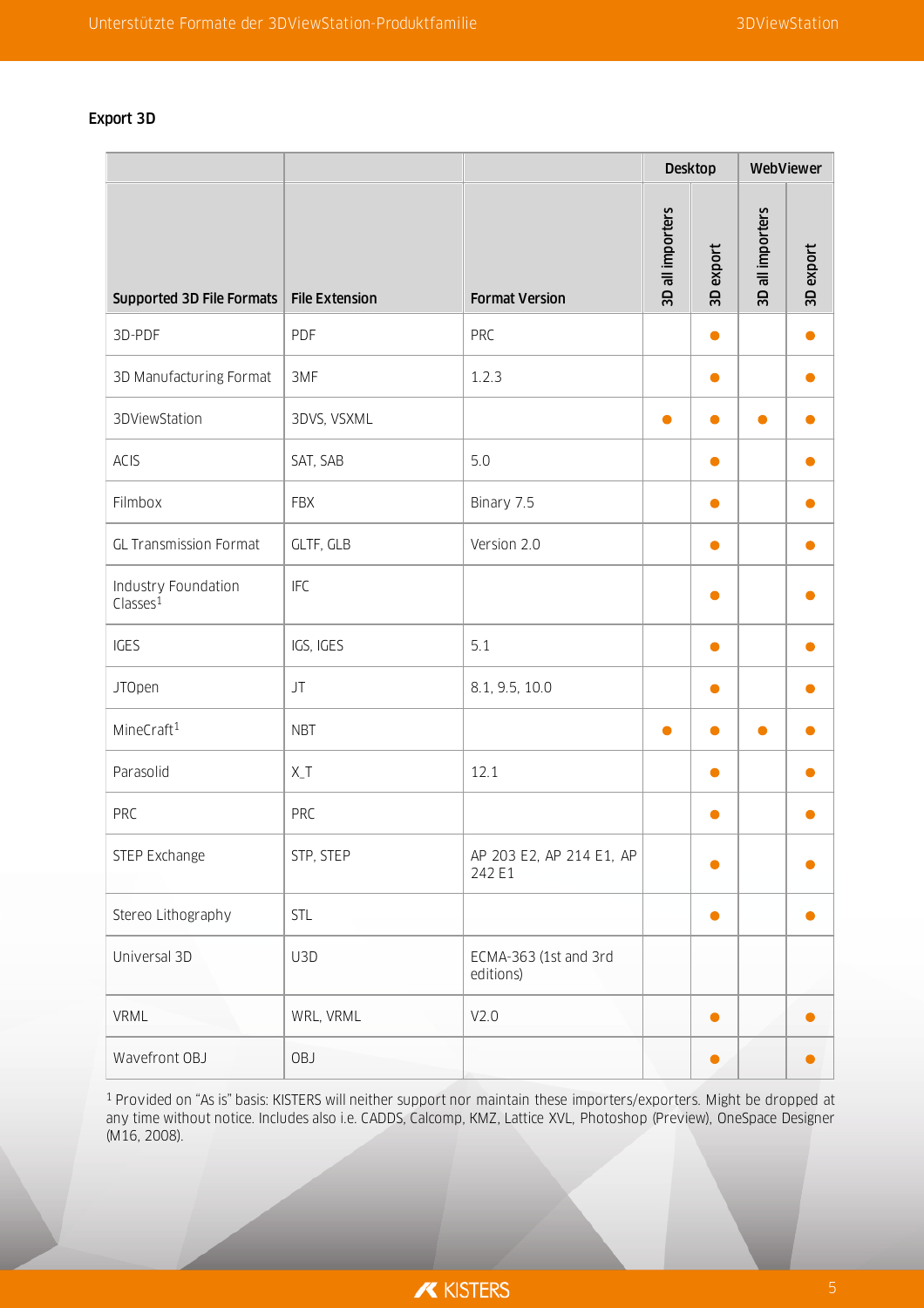## Export 3D

|                                             |                       |                                    |                  | <b>Desktop</b> | WebViewer        |           |  |
|---------------------------------------------|-----------------------|------------------------------------|------------------|----------------|------------------|-----------|--|
| Supported 3D File Formats                   | <b>File Extension</b> | <b>Format Version</b>              | 3D all importers | 3D export      | 3D all importers | 3D export |  |
| 3D-PDF                                      | PDF                   | PRC                                |                  | 0              |                  |           |  |
| 3D Manufacturing Format                     | 3MF                   | 1.2.3                              |                  | $\bullet$      |                  | O         |  |
| 3DViewStation                               | 3DVS, VSXML           |                                    | Ο                |                | Ο                |           |  |
| ACIS                                        | SAT, SAB              | 5.0                                |                  | $\bullet$      |                  |           |  |
| Filmbox                                     | <b>FBX</b>            | Binary 7.5                         |                  | $\bullet$      |                  |           |  |
| <b>GL Transmission Format</b>               | GLTF, GLB             | Version 2.0                        |                  | $\bullet$      |                  |           |  |
| Industry Foundation<br>Classes <sup>1</sup> | <b>IFC</b>            |                                    |                  | $\bullet$      |                  |           |  |
| IGES                                        | IGS, IGES             | 5.1                                |                  | $\bullet$      |                  |           |  |
| <b>JTOpen</b>                               | JT                    | 8.1, 9.5, 10.0                     |                  | $\bullet$      |                  |           |  |
| MineCraft <sup>1</sup>                      | <b>NBT</b>            |                                    | $\bullet$        | $\bullet$      | $\bullet$        | O         |  |
| Parasolid                                   | $X_T$                 | 12.1                               |                  | Ο              |                  |           |  |
| PRC                                         | PRC                   |                                    |                  | $\bullet$      |                  | 0         |  |
| STEP Exchange                               | STP, STEP             | AP 203 E2, AP 214 E1, AP<br>242 E1 |                  | $\bullet$      |                  |           |  |
| Stereo Lithography                          | STL                   |                                    |                  | $\bullet$      |                  | 0         |  |
| Universal 3D                                | U3D                   | ECMA-363 (1st and 3rd<br>editions) |                  |                |                  |           |  |
| VRML                                        | WRL, VRML             | V2.0                               |                  | $\bullet$      |                  |           |  |
| Wavefront OBJ                               | OBJ                   |                                    |                  | $\bullet$      |                  |           |  |

<sup>1</sup> Provided on "As is" basis: KISTERS will neither support nor maintain these importers/exporters. Might be dropped at any time without notice. Includes also i.e. CADDS, Calcomp, KMZ, Lattice XVL, Photoshop (Preview), OneSpace Designer (M16, 2008).